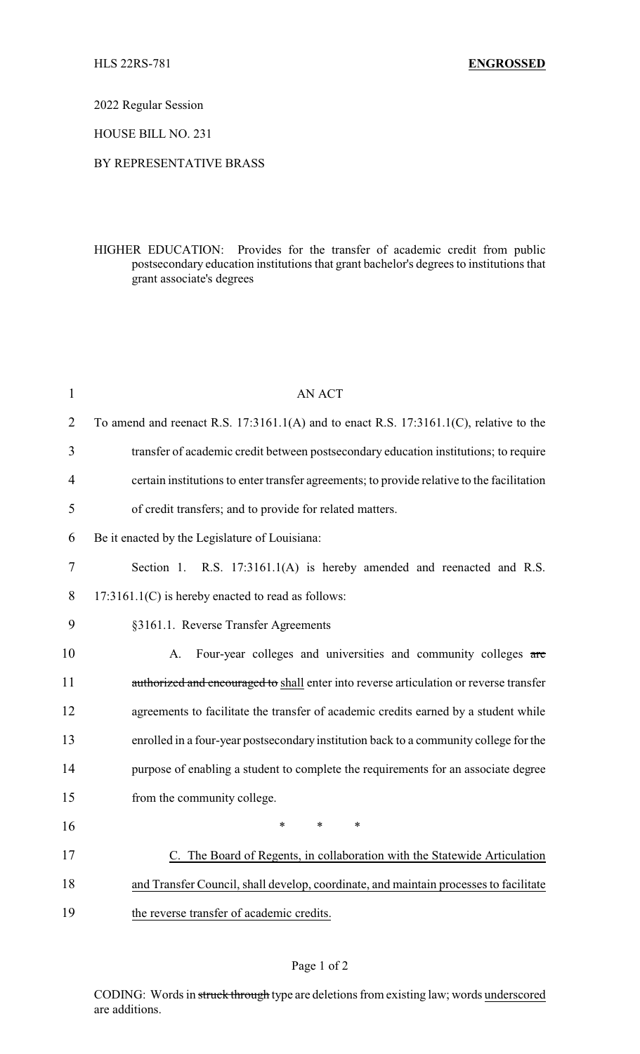2022 Regular Session

HOUSE BILL NO. 231

## BY REPRESENTATIVE BRASS

HIGHER EDUCATION: Provides for the transfer of academic credit from public postsecondary education institutions that grant bachelor's degrees to institutions that grant associate's degrees

| $\mathbf{1}$   | <b>AN ACT</b>                                                                               |
|----------------|---------------------------------------------------------------------------------------------|
| $\overline{2}$ | To amend and reenact R.S. $17:3161.1(A)$ and to enact R.S. $17:3161.1(C)$ , relative to the |
| 3              | transfer of academic credit between postsecondary education institutions; to require        |
| $\overline{4}$ | certain institutions to enter transfer agreements; to provide relative to the facilitation  |
| 5              | of credit transfers; and to provide for related matters.                                    |
| 6              | Be it enacted by the Legislature of Louisiana:                                              |
| $\tau$         | Section 1. R.S. 17:3161.1(A) is hereby amended and reenacted and R.S.                       |
| 8              | $17:3161.1(C)$ is hereby enacted to read as follows:                                        |
| 9              | §3161.1. Reverse Transfer Agreements                                                        |
| 10             | Four-year colleges and universities and community colleges are<br>A.                        |
| 11             | authorized and encouraged to shall enter into reverse articulation or reverse transfer      |
| 12             | agreements to facilitate the transfer of academic credits earned by a student while         |
| 13             | enrolled in a four-year postsecondary institution back to a community college for the       |
| 14             | purpose of enabling a student to complete the requirements for an associate degree          |
| 15             | from the community college.                                                                 |
| 16             | $\ast$<br>$\ast$<br>*                                                                       |
| 17             | C. The Board of Regents, in collaboration with the Statewide Articulation                   |
| 18             | and Transfer Council, shall develop, coordinate, and maintain processes to facilitate       |
| 19             | the reverse transfer of academic credits.                                                   |

## Page 1 of 2

CODING: Words in struck through type are deletions from existing law; words underscored are additions.